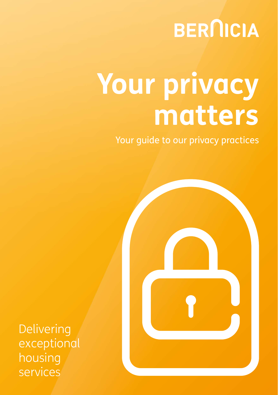## **BERNICIA**

# **Your privacy matters**

Your guide to our privacy practices



Delivering exceptional housing services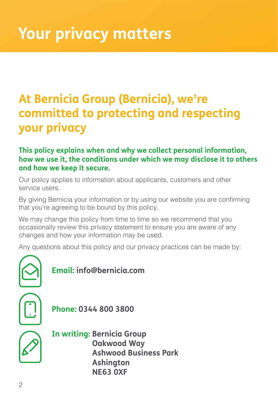### **At Bernicia Group (Bernicia), we're committed to protecting and respecting your privacy**

#### **This policy explains when and why we collect personal information, how we use it, the conditions under which we may disclose it to others and how we keep it secure.**

Our policy applies to information about applicants, customers and other service users.

By giving Bernicia your information or by using our website you are confirming that you're agreeing to be bound by this policy.

We may change this policy from time to time so we recommend that you occasionally review this privacy statement to ensure you are aware of any changes and how your information may be used.

Any questions about this policy and our privacy practices can be made by:



#### **Email: info@bernicia.com**

**Phone: 0344 800 3800**



**In writing: Bernicia Group Oakwood Way Ashwood Business Park Ashington NE63 0XF**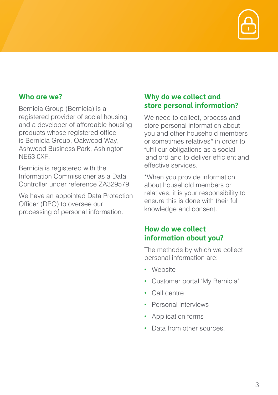

#### **Who are we?**

Bernicia Group (Bernicia) is a registered provider of social housing and a developer of affordable housing products whose registered office is Bernicia Group, Oakwood Way, Ashwood Business Park, Ashington NE63 0XF.

Bernicia is registered with the Information Commissioner as a Data Controller under reference ZA329579.

We have an appointed Data Protection Officer (DPO) to oversee our processing of personal information.

#### **Why do we collect and store personal information?**

We need to collect, process and store personal information about you and other household members or sometimes relatives\* in order to fulfil our obligations as a social landlord and to deliver efficient and effective services.

\*When you provide information about household members or relatives, it is your responsibility to ensure this is done with their full knowledge and consent.

#### **How do we collect information about you?**

The methods by which we collect personal information are:

- Website
- Customer portal 'My Bernicia'
- Call centre
- Personal interviews
- Application forms
- Data from other sources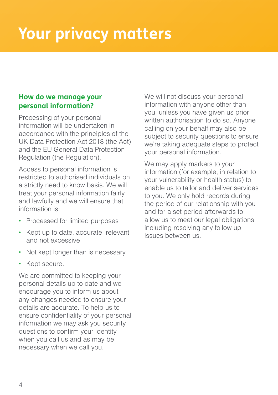#### **How do we manage your personal information?**

Processing of your personal information will be undertaken in accordance with the principles of the UK Data Protection Act 2018 (the Act) and the EU General Data Protection Regulation (the Regulation).

Access to personal information is restricted to authorised individuals on a strictly need to know basis. We will treat your personal information fairly and lawfully and we will ensure that information is:

- Processed for limited purposes
- Kept up to date, accurate, relevant and not excessive
- Not kept longer than is necessary
- Kept secure.

We are committed to keeping your personal details up to date and we encourage you to inform us about any changes needed to ensure your details are accurate. To help us to ensure confidentiality of your personal information we may ask you security questions to confirm your identity when you call us and as may be necessary when we call you.

We will not discuss your personal information with anyone other than you, unless you have given us prior written authorisation to do so. Anyone calling on your behalf may also be subject to security questions to ensure we're taking adequate steps to protect your personal information.

We may apply markers to your information (for example, in relation to your vulnerability or health status) to enable us to tailor and deliver services to you. We only hold records during the period of our relationship with you and for a set period afterwards to allow us to meet our legal obligations including resolving any follow up issues between us.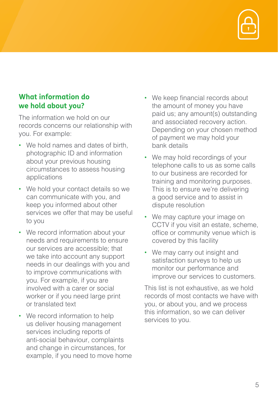

#### **What information do we hold about you?**

The information we hold on our records concerns our relationship with you. For example:

- We hold names and dates of birth. photographic ID and information about your previous housing circumstances to assess housing applications
- We hold your contact details so we can communicate with you, and keep you informed about other services we offer that may be useful to you
- We record information about your needs and requirements to ensure our services are accessible; that we take into account any support needs in our dealings with you and to improve communications with you. For example, if you are involved with a carer or social worker or if you need large print or translated text
- We record information to help us deliver housing management services including reports of anti-social behaviour, complaints and change in circumstances, for example, if you need to move home
- We keep financial records about the amount of money you have paid us; any amount(s) outstanding and associated recovery action. Depending on your chosen method of payment we may hold your bank details
- We may hold recordings of your telephone calls to us as some calls to our business are recorded for training and monitoring purposes. This is to ensure we're delivering a good service and to assist in dispute resolution
- We may capture your image on CCTV if you visit an estate, scheme, office or community venue which is covered by this facility
- We may carry out insight and satisfaction surveys to help us monitor our performance and improve our services to customers.

This list is not exhaustive, as we hold records of most contacts we have with you, or about you, and we process this information, so we can deliver services to you.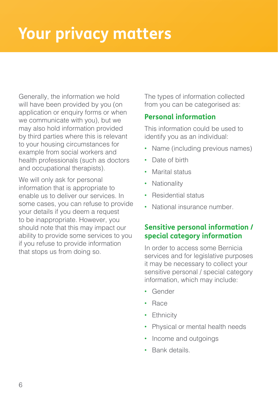Generally, the information we hold will have been provided by you (on application or enquiry forms or when we communicate with you), but we may also hold information provided by third parties where this is relevant to your housing circumstances for example from social workers and health professionals (such as doctors and occupational therapists).

We will only ask for personal information that is appropriate to enable us to deliver our services. In some cases, you can refuse to provide your details if you deem a request to be inappropriate. However, you should note that this may impact our ability to provide some services to you if you refuse to provide information that stops us from doing so.

The types of information collected from you can be categorised as:

#### **Personal information**

This information could be used to identify you as an individual:

- Name (including previous names)
- Date of birth
- Marital status
- Nationality
- Residential status
- National insurance number.

#### **Sensitive personal information / special category information**

In order to access some Bernicia services and for legislative purposes it may be necessary to collect your sensitive personal / special category information, which may include:

- Gender
- Race
- Ethnicity
- Physical or mental health needs
- Income and outgoings
- Bank details.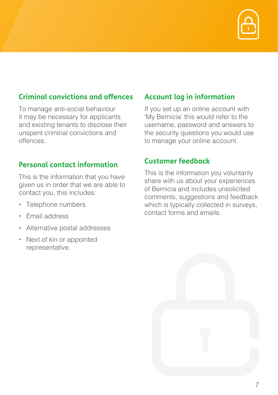

#### **Criminal convictions and offences**

To manage anti-social behaviour it may be necessary for applicants and existing tenants to disclose their unspent criminal convictions and offences.

#### **Personal contact information**

This is the information that you have given us in order that we are able to contact you, this includes:

- Telephone numbers
- Email address
- Alternative postal addresses
- Next of kin or appointed representative.

#### **Account log in information**

If you set up an online account with 'My Bernicia' this would refer to the username, password and answers to the security questions you would use to manage your online account.

#### **Customer feedback**

This is the information you voluntarily share with us about your experiences of Bernicia and includes unsolicited comments, suggestions and feedback which is typically collected in surveys. contact forms and emails.

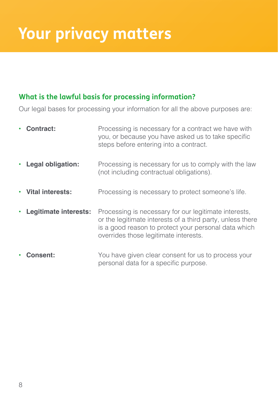#### **What is the lawful basis for processing information?**

Our legal bases for processing your information for all the above purposes are:

|           | Contract:                | Processing is necessary for a contract we have with<br>you, or because you have asked us to take specific<br>steps before entering into a contract.                                                                  |
|-----------|--------------------------|----------------------------------------------------------------------------------------------------------------------------------------------------------------------------------------------------------------------|
| $\bullet$ | <b>Legal obligation:</b> | Processing is necessary for us to comply with the law<br>(not including contractual obligations).                                                                                                                    |
| $\bullet$ | Vital interests:         | Processing is necessary to protect someone's life.                                                                                                                                                                   |
|           | Legitimate interests:    | Processing is necessary for our legitimate interests,<br>or the legitimate interests of a third party, unless there<br>is a good reason to protect your personal data which<br>overrides those legitimate interests. |
|           | <b>Consent:</b>          | You have given clear consent for us to process your<br>personal data for a specific purpose.                                                                                                                         |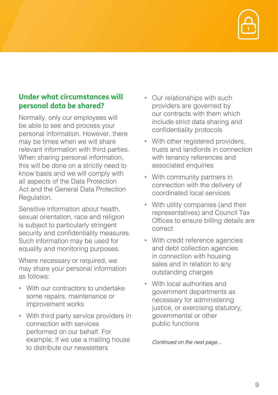

#### **Under what circumstances will personal data be shared?**

Normally, only our employees will be able to see and process your personal information. However, there may be times when we will share relevant information with third parties. When sharing personal information, this will be done on a strictly need to know basis and we will comply with all aspects of the Data Protection Act and the General Data Protection Regulation.

Sensitive information about health, sexual orientation, race and religion is subject to particularly stringent security and confidentiality measures. Such information may be used for equality and monitoring purposes.

Where necessary or required, we may share your personal information as follows:

- With our contractors to undertake some repairs, maintenance or improvement works
- With third party service providers in connection with services performed on our behalf. For example, if we use a mailing house to distribute our newsletters
- Our relationships with such providers are governed by our contracts with them which include strict data sharing and confidentiality protocols
- With other registered providers, trusts and landlords in connection with tenancy references and associated enquiries
- With community partners in connection with the delivery of coordinated local services
- With utility companies (and their representatives) and Council Tax Offices to ensure billing details are correct
- With credit reference agencies and debt collection agencies in connection with housing sales and in relation to any outstanding charges
- With local authorities and government departments as necessary for administering justice, or exercising statutory. governmental or other public functions

*Continued on the next page...*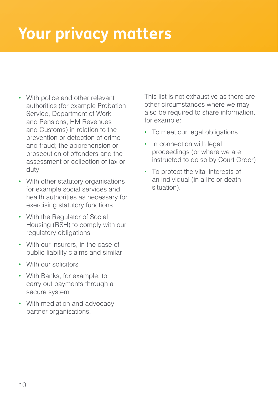- With police and other relevant authorities (for example Probation Service, Department of Work and Pensions, HM Revenues and Customs) in relation to the prevention or detection of crime and fraud; the apprehension or prosecution of offenders and the assessment or collection of tax or duty
- With other statutory organisations for example social services and health authorities as necessary for exercising statutory functions
- With the Regulator of Social Housing (RSH) to comply with our regulatory obligations
- With our insurers, in the case of public liability claims and similar
- With our solicitors
- With Banks, for example, to carry out payments through a secure system
- With mediation and advocacy partner organisations.

This list is not exhaustive as there are other circumstances where we may also be required to share information, for example:

- To meet our legal obligations
- In connection with legal proceedings (or where we are instructed to do so by Court Order)
- To protect the vital interests of an individual (in a life or death situation).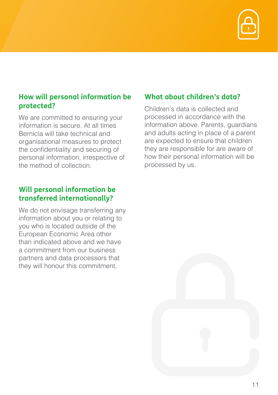

#### **How will personal information be protected?**

We are committed to ensuring your information is secure. At all times Bernicia will take technical and organisational measures to protect the confidentiality and securing of personal information, irrespective of the method of collection.

#### **Will personal information be transferred internationally?**

We do not envisage transferring any information about you or relating to you who is located outside of the European Economic Area other than indicated above and we have a commitment from our business partners and data processors that they will honour this commitment.

#### **What about children's data?**

Children's data is collected and processed in accordance with the information above. Parents, guardians and adults acting in place of a parent are expected to ensure that children they are responsible for are aware of how their personal information will be processed by us.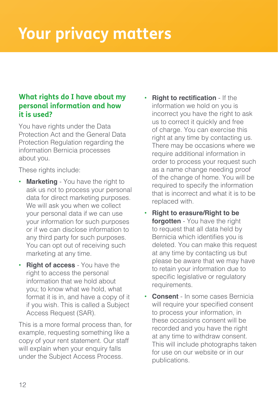#### **What rights do I have about my personal information and how it is used?**

You have rights under the Data Protection Act and the General Data Protection Regulation regarding the information Bernicia processes about you.

These rights include:

- **Marketing** You have the right to ask us not to process your personal data for direct marketing purposes. We will ask you when we collect your personal data if we can use your information for such purposes or if we can disclose information to any third party for such purposes. You can opt out of receiving such marketing at any time.
- **Right of access**  You have the right to access the personal information that we hold about you; to know what we hold, what format it is in, and have a copy of it if you wish. This is called a Subject Access Request (SAR).

This is a more formal process than, for example, requesting something like a copy of your rent statement. Our staff will explain when your enquiry falls under the Subject Access Process.

- **Right to rectification** If the information we hold on you is incorrect you have the right to ask us to correct it quickly and free of charge. You can exercise this right at any time by contacting us. There may be occasions where we require additional information in order to process your request such as a name change needing proof of the change of home. You will be required to specify the information that is incorrect and what it is to be replaced with.
- **Right to erasure/Right to be forgotten** - You have the right to request that all data held by Bernicia which identifies you is deleted. You can make this request at any time by contacting us but please be aware that we may have to retain your information due to specific legislative or regulatory requirements.
- **Consent** In some cases Bernicia will require your specified consent to process your information, in these occasions consent will be recorded and you have the right at any time to withdraw consent. This will include photographs taken for use on our website or in our publications.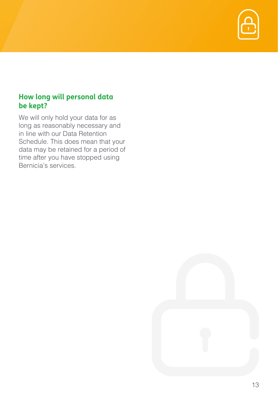

#### **How long will personal data be kept?**

We will only hold your data for as long as reasonably necessary and in line with our Data Retention Schedule. This does mean that your data may be retained for a period of time after you have stopped using Bernicia's services.

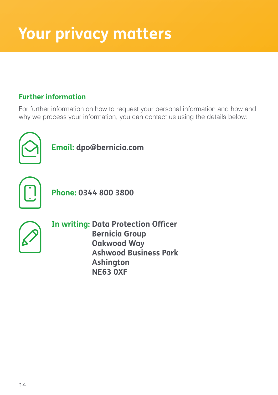#### **Further information**

For further information on how to request your personal information and how and why we process your information, you can contact us using the details below:



**Email: dpo@bernicia.com** 



**Phone: 0344 800 3800**



**In writing: Data Protection Officer Bernicia Group Oakwood Way Ashwood Business Park Ashington NE63 0XF**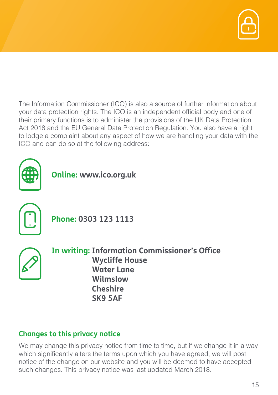

The Information Commissioner (ICO) is also a source of further information about your data protection rights. The ICO is an independent official body and one of their primary functions is to administer the provisions of the UK Data Protection Act 2018 and the EU General Data Protection Regulation. You also have a right to lodge a complaint about any aspect of how we are handling your data with the ICO and can do so at the following address:



**Online: www.ico.org.uk**



**Phone: 0303 123 1113**



**In writing: Information Commissioner's Office Wycliffe House Water Lane Wilmslow Cheshire SK9 5AF**

#### **Changes to this privacy notice**

We may change this privacy notice from time to time, but if we change it in a way which significantly alters the terms upon which you have agreed, we will post notice of the change on our website and you will be deemed to have accepted such changes. This privacy notice was last updated March 2018.